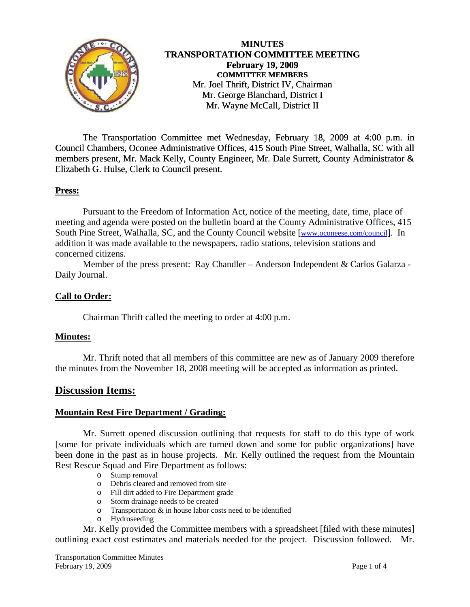

 The Transportation Committee met Wednesday, February 18, 2009 at 4:00 p.m. in Council Chambers, Oconee Administrative Offices, 415 South Pine Street, Walhalla, SC with all members present, Mr. Mack Kelly, County Engineer, Mr. Dale Surrett, County Administrator & Elizabeth G. Hulse, Clerk to Council present.

## **Press:**

 Pursuant to the Freedom of Information Act, notice of the meeting, date, time, place of meeting and agenda were posted on the bulletin board at the County Administrative Offices, 415 South Pine Street, Walhalla, SC, and the County Council website [\[www.oconeese.com/council\]](http://www.oconeese.com/council). In addition it was made available to the newspapers, radio stations, television stations and concerned citizens.

Member of the press present: Ray Chandler – Anderson Independent & Carlos Galarza - Daily Journal.

#### **Call to Order:**

Chairman Thrift called the meeting to order at 4:00 p.m.

#### **Minutes:**

 Mr. Thrift noted that all members of this committee are new as of January 2009 therefore the minutes from the November 18, 2008 meeting will be accepted as information as printed.

# **Discussion Items:**

#### **Mountain Rest Fire Department / Grading:**

 Mr. Surrett opened discussion outlining that requests for staff to do this type of work [some for private individuals which are turned down and some for public organizations] have been done in the past as in house projects. Mr. Kelly outlined the request from the Mountain Rest Rescue Squad and Fire Department as follows:

- o Stump removal
- o Debris cleared and removed from site
- o Fill dirt added to Fire Department grade
- o Storm drainage needs to be created
- o Transportation & in house labor costs need to be identified
- o Hydroseeding

Mr. Kelly provided the Committee members with a spreadsheet [filed with these minutes] outlining exact cost estimates and materials needed for the project. Discussion followed. Mr.

Transportation Committee Minutes February 19, 2009 Page 1 of 4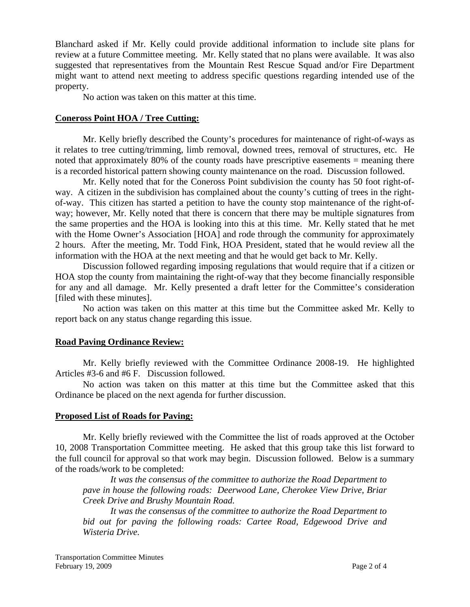Blanchard asked if Mr. Kelly could provide additional information to include site plans for review at a future Committee meeting. Mr. Kelly stated that no plans were available. It was also suggested that representatives from the Mountain Rest Rescue Squad and/or Fire Department might want to attend next meeting to address specific questions regarding intended use of the property.

No action was taken on this matter at this time.

#### **Coneross Point HOA / Tree Cutting:**

Mr. Kelly briefly described the County's procedures for maintenance of right-of-ways as it relates to tree cutting/trimming, limb removal, downed trees, removal of structures, etc. He noted that approximately 80% of the county roads have prescriptive easements = meaning there is a recorded historical pattern showing county maintenance on the road. Discussion followed.

 Mr. Kelly noted that for the Coneross Point subdivision the county has 50 foot right-ofway. A citizen in the subdivision has complained about the county's cutting of trees in the rightof-way. This citizen has started a petition to have the county stop maintenance of the right-ofway; however, Mr. Kelly noted that there is concern that there may be multiple signatures from the same properties and the HOA is looking into this at this time. Mr. Kelly stated that he met with the Home Owner's Association [HOA] and rode through the community for approximately 2 hours. After the meeting, Mr. Todd Fink, HOA President, stated that he would review all the information with the HOA at the next meeting and that he would get back to Mr. Kelly.

 Discussion followed regarding imposing regulations that would require that if a citizen or HOA stop the county from maintaining the right-of-way that they become financially responsible for any and all damage. Mr. Kelly presented a draft letter for the Committee's consideration [filed with these minutes].

 No action was taken on this matter at this time but the Committee asked Mr. Kelly to report back on any status change regarding this issue.

#### **Road Paving Ordinance Review:**

Mr. Kelly briefly reviewed with the Committee Ordinance 2008-19. He highlighted Articles #3-6 and #6 F. Discussion followed.

 No action was taken on this matter at this time but the Committee asked that this Ordinance be placed on the next agenda for further discussion.

#### **Proposed List of Roads for Paving:**

Mr. Kelly briefly reviewed with the Committee the list of roads approved at the October 10, 2008 Transportation Committee meeting. He asked that this group take this list forward to the full council for approval so that work may begin. Discussion followed. Below is a summary of the roads/work to be completed:

*It was the consensus of the committee to authorize the Road Department to pave in house the following roads: Deerwood Lane, Cherokee View Drive, Briar Creek Drive and Brushy Mountain Road.* 

*It was the consensus of the committee to authorize the Road Department to bid out for paving the following roads: Cartee Road, Edgewood Drive and Wisteria Drive.*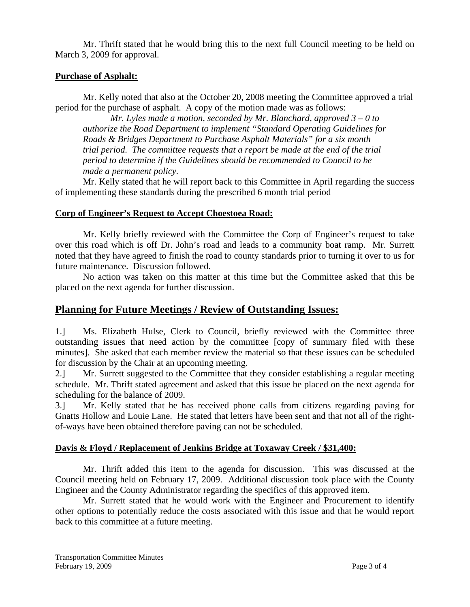Mr. Thrift stated that he would bring this to the next full Council meeting to be held on March 3, 2009 for approval.

## **Purchase of Asphalt:**

Mr. Kelly noted that also at the October 20, 2008 meeting the Committee approved a trial period for the purchase of asphalt. A copy of the motion made was as follows:

*Mr. Lyles made a motion, seconded by Mr. Blanchard, approved 3 – 0 to authorize the Road Department to implement "Standard Operating Guidelines for Roads & Bridges Department to Purchase Asphalt Materials" for a six month trial period. The committee requests that a report be made at the end of the trial period to determine if the Guidelines should be recommended to Council to be made a permanent policy.* 

 Mr. Kelly stated that he will report back to this Committee in April regarding the success of implementing these standards during the prescribed 6 month trial period

#### **Corp of Engineer's Request to Accept Choestoea Road:**

Mr. Kelly briefly reviewed with the Committee the Corp of Engineer's request to take over this road which is off Dr. John's road and leads to a community boat ramp. Mr. Surrett noted that they have agreed to finish the road to county standards prior to turning it over to us for future maintenance. Discussion followed.

 No action was taken on this matter at this time but the Committee asked that this be placed on the next agenda for further discussion.

# **Planning for Future Meetings / Review of Outstanding Issues:**

1.] Ms. Elizabeth Hulse, Clerk to Council, briefly reviewed with the Committee three outstanding issues that need action by the committee [copy of summary filed with these minutes]. She asked that each member review the material so that these issues can be scheduled for discussion by the Chair at an upcoming meeting.

2.] Mr. Surrett suggested to the Committee that they consider establishing a regular meeting schedule. Mr. Thrift stated agreement and asked that this issue be placed on the next agenda for scheduling for the balance of 2009.

3.] Mr. Kelly stated that he has received phone calls from citizens regarding paving for Gnatts Hollow and Louie Lane. He stated that letters have been sent and that not all of the rightof-ways have been obtained therefore paving can not be scheduled.

#### **Davis & Floyd / Replacement of Jenkins Bridge at Toxaway Creek / \$31,400:**

 Mr. Thrift added this item to the agenda for discussion. This was discussed at the Council meeting held on February 17, 2009. Additional discussion took place with the County Engineer and the County Administrator regarding the specifics of this approved item.

 Mr. Surrett stated that he would work with the Engineer and Procurement to identify other options to potentially reduce the costs associated with this issue and that he would report back to this committee at a future meeting.